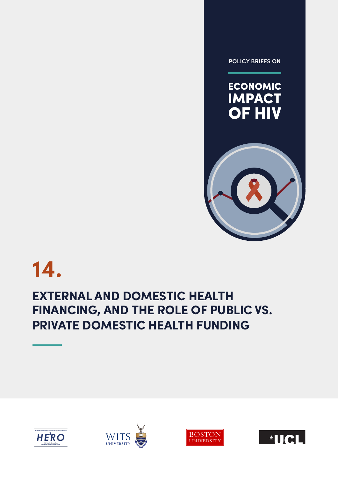**POLICY BRIEFS ON** 





# **14.**

## **EXTERNAL AND DOMESTIC HEALTH FINANCING, AND THE ROLE OF PUBLIC VS. PRIVATE DOMESTIC HEALTH FUNDING**







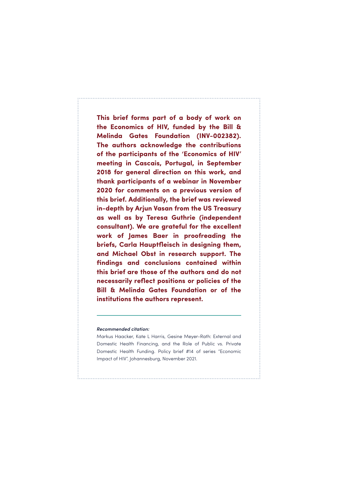**This brief forms part of a body of work on the Economics of HIV, funded by the Bill & Melinda Gates Foundation (INV-002382). The authors acknowledge the contributions of the participants of the 'Economics of HIV' meeting in Cascais, Portugal, in September 2018 for general direction on this work, and thank participants of a webinar in November 2020 for comments on a previous version of this brief. Additionally, the brief was reviewed in-depth by Arjun Vasan from the US Treasury as well as by Teresa Guthrie (independent consultant). We are grateful for the excellent work of James Baer in proofreading the briefs, Carla Hauptfleisch in designing them, and Michael Obst in research support. The findings and conclusions contained within this brief are those of the authors and do not necessarily reflect positions or policies of the Bill & Melinda Gates Foundation or of the institutions the authors represent.** 

#### *Recommended citation:*

Markus Haacker, Kate L Harris, Gesine Meyer-Rath: External and Domestic Health Financing, and the Role of Public vs. Private Domestic Health Funding. Policy brief #14 of series "Economic Impact of HIV". Johannesburg, November 2021.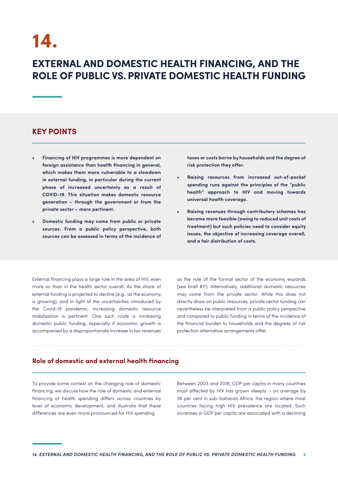## **14.**

### **EXTERNAL AND DOMESTIC HEALTH FINANCING, AND THE ROLE OF PUBLIC VS. PRIVATE DOMESTIC HEALTH FUNDING**

#### **KEY POINTS**

- **• Financing of HIV programmes is more dependent on foreign assistance than health financing in general, which makes them more vulnerable to a slowdown in external funding, in particular during the current phase of increased uncertainty as a result of COVID-19. This situation makes domestic resource generation – through the government or from the private sector – more pertinent.**
- **• Domestic funding may come from public or private sources. From a public policy perspective, both sources can be assessed in terms of the incidence of**

**taxes or costs borne by households and the degree of risk protection they offer.**

- **• Raising resources from increased out-of-pocket spending runs against the principles of the "public health" approach to HIV and moving towards universal health coverage.**
- **• Raising revenues through contributory schemes has become more feasible (owing to reduced unit costs of treatment) but such policies need to consider equity issues, the objective of increasing coverage overall, and a fair distribution of costs.**

External financing plays a large role in the area of HIV, even more so than in the health sector overall. As the share of external funding is projected to decline (e.g., as the economy is growing), and in light of the uncertainties introduced by the Covid-19 pandemic, increasing domestic resource mobilization is pertinent. One such route is increasing domestic public funding, especially if economic growth is accompanied by a disproportionate increase in tax revenues

as the role of the formal sector of the economy expands (see brief #11). Alternatively, additional domestic resources may come from the private sector. While this does not directly draw on public resources, private sector funding can nevertheless be interpreted from a public policy perspective and compared to public funding in terms of the incidence of the financial burden to households and the degrees of risk protection alternative arrangements offer.

#### **Role of domestic and external health financing**

To provide some context on the changing role of domestic financing, we discuss how the role of domestic and external financing of health spending differs across countries by level of economic development, and illustrate that these differences are even more pronounced for HIV spending.

Between 2003 and 2018, GDP per capita in many countries most affected by HIV has grown steeply – on average by 36 per cent in sub-Saharan Africa, the region where most countries facing high HIV prevalence are located. Such increases in GDP per capita are associated with a declining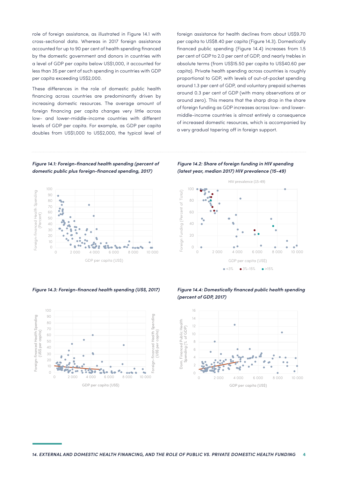role of foreign assistance, as illustrated in Figure 14.1 with cross-sectional data. Whereas in 2017 foreign assistance accounted for up to 90 per cent of health spending financed by the domestic government and donors in countries with a level of GDP per capita below US\$1,000, it accounted for less than 35 per cent of such spending in countries with GDP per capita exceeding US\$2,000.

These differences in the role of domestic public health financing across countries are predominantly driven by increasing domestic resources. The average amount of foreign financing per capita changes very little across low- and lower-middle-income countries with different levels of GDP per capita. For example, as GDP per capita doubles from US\$1,000 to US\$2,000, the typical level of foreign assistance for health declines from about US\$9.70 per capita to US\$8.40 per capita (Figure 14.3). Domestically financed public spending (Figure 14.4) increases from 1.5 per cent of GDP to 2.0 per cent of GDP, and nearly trebles in absolute terms (from US\$15.50 per capita to US\$40.60 per capita). Private health spending across countries is roughly proportional to GDP, with levels of out-of-pocket spending around 1.3 per cent of GDP, and voluntary prepaid schemes around 0.3 per cent of GDP (with many observations at or around zero). This means that the sharp drop in the share of foreign funding as GDP increases across low- and lowermiddle-income countries is almost entirely a consequence of increased domestic resources, which is accompanied by a very gradual tapering off in foreign support.

#### *Figure 14.1: Foreign-financed health spending (percent of domestic public plus foreign-financed spending, 2017)*



*Figure 14.3: Foreign-financed health spending (US\$, 2017)*









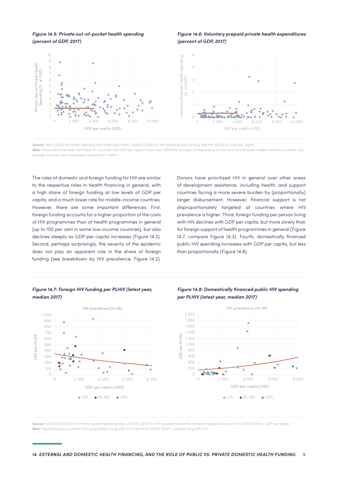*Figure 14.5: Private out-of-pocket health spending (percent of GDP, 2017)*

#### *Figure 14.6: Voluntary prepaid private health expenditures (percent of GDP, 2017)*



**Source:** WHO (2020) for health spending and financing overall, UNAIDS (2020) for HIV spending and funding, and IMF (2019) for GDP per capita.

**Note:** Trend lines have been estimated for countries with GDP per capita of less than US\$4,000 (broadly corresponding to low-income and lower-middle-income countries), and exclude countries with a population of less than 1 million.

The roles of domestic and foreign funding for HIV are similar to the respective roles in health financing in general, with a high share of foreign funding at low levels of GDP per capita, and a much lower rate for middle-income countries. However, there are some important differences. First, foreign funding accounts for a higher proportion of the costs of HIV programmes than of health programmes in general (up to 100 per cent in some low-income countries), but also declines steeply as GDP per capita increases (Figure 14.2). Second, perhaps surprisingly, the severity of the epidemic does not play an apparent role in the share of foreign funding (see breakdown by HIV prevalence, Figure 14.2).

Donors have prioritized HIV in general over other areas of development assistance, including health, and support countries facing a more severe burden by (proportionally) larger disbursement. However, financial support is not disproportionately targeted at countries where HIV prevalence is higher. Third, foreign funding per person living with HIV declines with GDP per capita, but more slowly than for foreign support of health programmes in general (Figure 14.7, compare Figure 14.3). Fourth, domestically financed public HIV spending increases with GDP per capita, but less than proportionally (Figure 14.8).

#### *Figure 14.7: Foreign HIV funding per PLHIV (latest year, median 2017)*



#### *Figure 14.8: Domestically financed public HIV spending per PLHIV (latest year, median 2017)*



**Source:** UNAIDS (2020) for HIV financing and spending data, UNAIDS (2019) for HIV prevalence and the number of people living with HIV, IMF (2019) for GDP per capita. **Note:** Figures exclude countries with a population living with HIV of less than 10,000. PLWH = people living with HIV.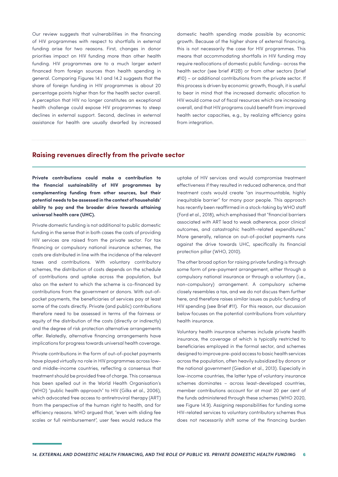Our review suggests that vulnerabilities in the financing of HIV programmes with respect to shortfalls in external funding arise for two reasons. First, changes in donor priorities impact on HIV funding more than other health funding. HIV programmes are to a much larger extent financed from foreign sources than health spending in general. Comparing Figures 14.1 and 14.2 suggests that the share of foreign funding in HIV programmes is about 20 percentage points higher than for the health sector overall. A perception that HIV no longer constitutes an exceptional health challenge could expose HIV programmes to steep declines in external support. Second, declines in external assistance for health are usually dwarfed by increased domestic health spending made possible by economic growth. Because of the higher share of external financing, this is not necessarily the case for HIV programmes. This means that accommodating shortfalls in HIV funding may require reallocations of domestic public funding– across the health sector (see brief #12B) or from other sectors (brief #10) – or additional contributions from the private sector. If this process is driven by economic growth, though, it is useful to bear in mind that the increased domestic allocation to HIV would come out of fiscal resources which are increasing overall, and that HIV programs could benefit from improved health sector capacities, e.g., by realizing efficiency gains from integration.

#### **Raising revenues directly from the private sector**

**Private contributions could make a contribution to the financial sustainability of HIV programmes by complementing funding from other sources, but their potential needs to be assessed in the context of households' ability to pay and the broader drive towards attaining universal health care (UHC).**

Private domestic funding is not additional to public domestic funding in the sense that in both cases the costs of providing HIV services are raised from the private sector. For tax financing or compulsory national insurance schemes, the costs are distributed in line with the incidence of the relevant taxes and contributions. With voluntary contributory schemes, the distribution of costs depends on the schedule of contributions and uptake across the population, but also on the extent to which the scheme is co-financed by contributions from the government or donors. With out-ofpocket payments, the beneficiaries of services pay at least some of the costs directly. Private (and public) contributions therefore need to be assessed in terms of the fairness or equity of the distribution of the costs (directly or indirectly) and the degree of risk protection alternative arrangements offer. Relatedly, alternative financing arrangements have implications for progress towards universal health coverage.

Private contributions in the form of out-of-pocket payments have played virtually no role in HIV programmes across lowand middle-income countries, reflecting a consensus that treatment should be provided free of charge. This consensus has been spelled out in the World Health Organisation's (WHO) "public health approach" to HIV (Gilks et al., 2006), which advocated free access to antiretroviral therapy (ART) from the perspective of the human right to health, and for efficiency reasons. WHO argued that, "even with sliding fee scales or full reimbursement", user fees would reduce the uptake of HIV services and would compromise treatment effectiveness if they resulted in reduced adherence, and that treatment costs would create "an insurmountable, highly inequitable barrier" for many poor people. This approach has recently been reaffirmed in a stock-taking by WHO staff (Ford et al., 2018), which emphasised that "financial barriers associated with ART lead to weak adherence, poor clinical outcomes, and catastrophic health-related expenditures." More generally, reliance on out-of-pocket payments runs against the drive towards UHC, specifically its financial protection pillar (WHO, 2010).

The other broad option for raising private funding is through some form of pre-payment arrangement, either through a compulsory national insurance or through a voluntary (i.e., non-compulsory) arrangement. A compulsory scheme closely resembles a tax, and we do not discuss them further here, and therefore raises similar issues as public funding of HIV spending (see Brief #11). For this reason, our discussion below focuses on the potential contributions from voluntary health insurance.

Voluntary health insurance schemes include private health insurance, the coverage of which is typically restricted to beneficiaries employed in the formal sector, and schemes designed to improve pre-paid access to basic health services across the population, often heavily subsidized by donors or the national government (Giedion et al., 2013). Especially in low-income countries, the latter type of voluntary insurance schemes dominates – across least-developed countries, member contributions account for at most 20 per cent of the funds administered through these schemes (WHO 2020, see Figure 14.9). Assigning responsibilities for funding some HIV-related services to voluntary contributory schemes thus does not necessarily shift some of the financing burden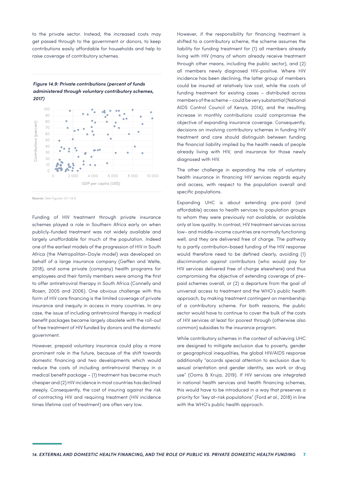to the private sector. Instead, the increased costs may get passed through to the government or donors, to keep contributions easily affordable for households and help to raise coverage of contributory schemes.

*Figure 14.9: Private contributions (percent of funds administered through voluntary contributory schemes, 2017)*



**Source:** See Figures 14.1-14.6

Funding of HIV treatment through private insurance schemes played a role in Southern Africa early on when publicly-funded treatment was not widely available and largely unaffordable for much of the population. Indeed one of the earliest models of the progression of HIV in South Africa (the Metropolitan-Doyle model) was developed on behalf of a large insurance company (Geffen and Welte, 2018), and some private (company) health programs for employees and their family members were among the first to offer antiretroviral therapy in South Africa (Connelly and Rosen, 2005 and 2006). One obvious challenge with this form of HIV care financing is the limited coverage of private insurance and inequity in access in many countries. In any case, the issue of including antiretroviral therapy in medical benefit packages became largely obsolete with the roll-out of free treatment of HIV funded by donors and the domestic government.

However, prepaid voluntary insurance could play a more prominent role in the future, because of the shift towards domestic financing and two developments which would reduce the costs of including antiretroviral therapy in a medical benefit package – (1) treatment has become much cheaper and (2) HIV incidence in most countries has declined steeply. Consequently, the cost of insuring against the risk of contracting HIV and requiring treatment (HIV incidence times lifetime cost of treatment) are often very low.

However, if the responsibility for financing treatment is shifted to a contributory scheme, the scheme assumes the liability for funding treatment for (1) all members already living with HIV (many of whom already receive treatment through other means, including the public sector), and (2) all members newly diagnosed HIV-positive. Where HIV incidence has been declining, the latter group of members could be insured at relatively low cost, while the costs of funding treatment for existing cases – distributed across members of the scheme – could be very substantial (National AIDS Control Council of Kenya, 2014), and the resulting increase in monthly contributions could compromise the objective of expanding insurance coverage. Consequently, decisions on involving contributory schemes in funding HIV treatment and care should distinguish between funding the financial liability implied by the health needs of people already living with HIV, and insurance for those newly diagnosed with HIV.

The other challenge in expanding the role of voluntary health insurance in financing HIV services regards equity and access, with respect to the population overall and specific populations.

Expanding UHC is about extending pre-paid (and affordable) access to health services to population groups to whom they were previously not available, or available only at low quality. In contrast, HIV treatment services across low- and middle-income countries are normally functioning well, and they are delivered free of charge. The pathway to a partly contribution-based funding of the HIV response would therefore need to be defined clearly, avoiding (1) discrimination against contributors (who would pay for HIV services delivered free of charge elsewhere) and thus compromising the objective of extending coverage of prepaid schemes overall, or (2) a departure from the goal of universal access to treatment and the WHO's public health approach, by making treatment contingent on membership of a contributory scheme. For both reasons, the public sector would have to continue to cover the bulk of the costs of HIV services at least for poorest through (otherwise also common) subsidies to the insurance program.

While contributory schemes in the context of achieving UHC are designed to mitigate exclusion due to poverty, gender or geographical inequalities, the global HIV/AIDS response additionally "accords special attention to exclusion due to sexual orientation and gender identity, sex work or drug use" (Ooms & Kruja, 2019). If HIV services are integrated in national health services and health financing schemes, this would have to be introduced in a way that preserves a priority for "key at-risk populations" (Ford et al., 2018) in line with the WHO's public health approach.